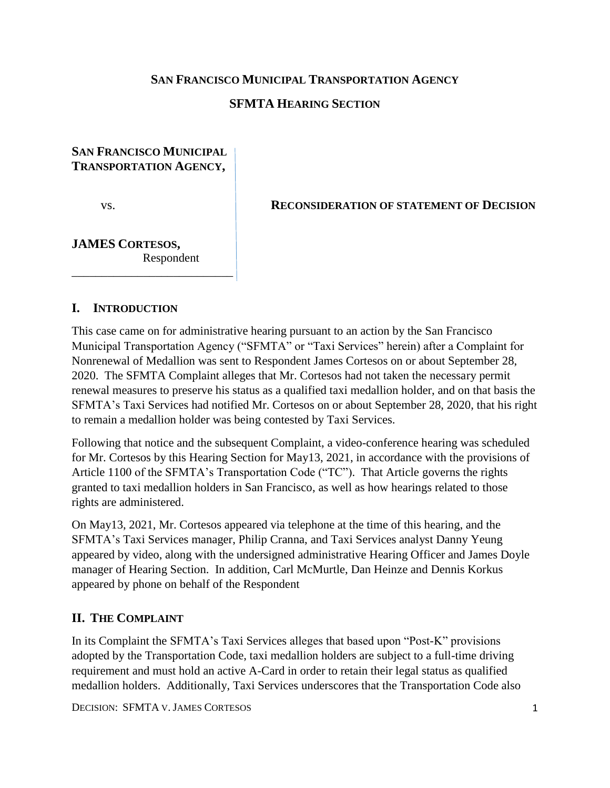### **SAN FRANCISCO MUNICIPAL TRANSPORTATION AGENCY**

# **SFMTA HEARING SECTION**

# **SAN FRANCISCO MUNICIPAL TRANSPORTATION AGENCY,**

vs. **RECONSIDERATION OF STATEMENT OF DECISION**

# **JAMES CORTESOS,** Respondent

\_\_\_\_\_\_\_\_\_\_\_\_\_\_\_\_\_\_\_\_\_\_\_\_\_\_\_

### **I. INTRODUCTION**

This case came on for administrative hearing pursuant to an action by the San Francisco Municipal Transportation Agency ("SFMTA" or "Taxi Services" herein) after a Complaint for Nonrenewal of Medallion was sent to Respondent James Cortesos on or about September 28, 2020. The SFMTA Complaint alleges that Mr. Cortesos had not taken the necessary permit renewal measures to preserve his status as a qualified taxi medallion holder, and on that basis the SFMTA's Taxi Services had notified Mr. Cortesos on or about September 28, 2020, that his right to remain a medallion holder was being contested by Taxi Services.

Following that notice and the subsequent Complaint, a video-conference hearing was scheduled for Mr. Cortesos by this Hearing Section for May13, 2021, in accordance with the provisions of Article 1100 of the SFMTA's Transportation Code ("TC"). That Article governs the rights granted to taxi medallion holders in San Francisco, as well as how hearings related to those rights are administered.

On May13, 2021, Mr. Cortesos appeared via telephone at the time of this hearing, and the SFMTA's Taxi Services manager, Philip Cranna, and Taxi Services analyst Danny Yeung appeared by video, along with the undersigned administrative Hearing Officer and James Doyle manager of Hearing Section. In addition, Carl McMurtle, Dan Heinze and Dennis Korkus appeared by phone on behalf of the Respondent

### **II. THE COMPLAINT**

In its Complaint the SFMTA's Taxi Services alleges that based upon "Post-K" provisions adopted by the Transportation Code, taxi medallion holders are subject to a full-time driving requirement and must hold an active A-Card in order to retain their legal status as qualified medallion holders. Additionally, Taxi Services underscores that the Transportation Code also

DECISION: SFMTA V.JAMES CORTESOS 1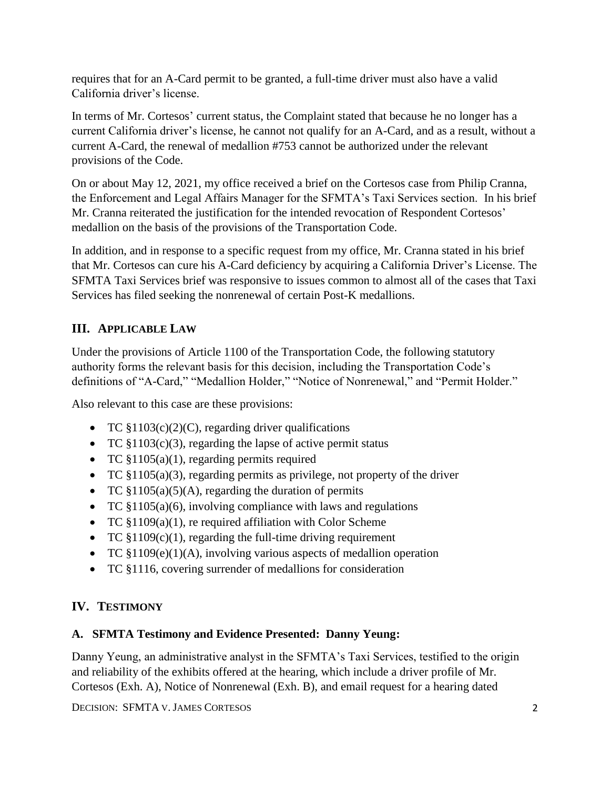requires that for an A-Card permit to be granted, a full-time driver must also have a valid California driver's license.

In terms of Mr. Cortesos' current status, the Complaint stated that because he no longer has a current California driver's license, he cannot not qualify for an A-Card, and as a result, without a current A-Card, the renewal of medallion #753 cannot be authorized under the relevant provisions of the Code.

On or about May 12, 2021, my office received a brief on the Cortesos case from Philip Cranna, the Enforcement and Legal Affairs Manager for the SFMTA's Taxi Services section. In his brief Mr. Cranna reiterated the justification for the intended revocation of Respondent Cortesos' medallion on the basis of the provisions of the Transportation Code.

In addition, and in response to a specific request from my office, Mr. Cranna stated in his brief that Mr. Cortesos can cure his A-Card deficiency by acquiring a California Driver's License. The SFMTA Taxi Services brief was responsive to issues common to almost all of the cases that Taxi Services has filed seeking the nonrenewal of certain Post-K medallions.

# **III. APPLICABLE LAW**

Under the provisions of Article 1100 of the Transportation Code, the following statutory authority forms the relevant basis for this decision, including the Transportation Code's definitions of "A-Card," "Medallion Holder," "Notice of Nonrenewal," and "Permit Holder."

Also relevant to this case are these provisions:

- TC  $$1103(c)(2)(C)$ , regarding driver qualifications
- TC  $$1103(c)(3)$ , regarding the lapse of active permit status
- TC §1105(a)(1), regarding permits required
- TC §1105(a)(3), regarding permits as privilege, not property of the driver
- TC  $$1105(a)(5)(A)$ , regarding the duration of permits
- TC  $$1105(a)(6)$ , involving compliance with laws and regulations
- TC  $$1109(a)(1)$ , re required affiliation with Color Scheme
- TC  $$1109(c)(1)$ , regarding the full-time driving requirement
- TC §1109(e)(1)(A), involving various aspects of medallion operation
- TC §1116, covering surrender of medallions for consideration

# **IV. TESTIMONY**

# **A. SFMTA Testimony and Evidence Presented: Danny Yeung:**

Danny Yeung, an administrative analyst in the SFMTA's Taxi Services, testified to the origin and reliability of the exhibits offered at the hearing, which include a driver profile of Mr. Cortesos (Exh. A), Notice of Nonrenewal (Exh. B), and email request for a hearing dated

DECISION: SFMTA V.JAMES CORTESOS 2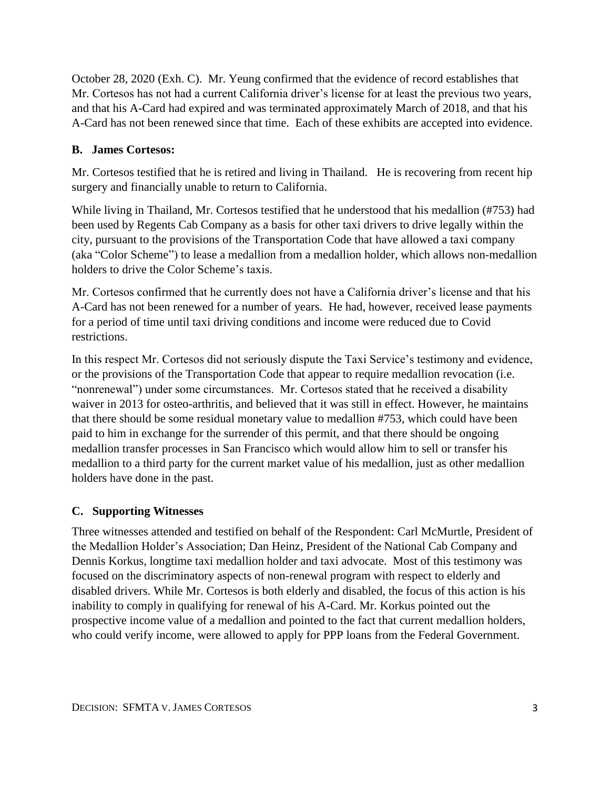October 28, 2020 (Exh. C). Mr. Yeung confirmed that the evidence of record establishes that Mr. Cortesos has not had a current California driver's license for at least the previous two years, and that his A-Card had expired and was terminated approximately March of 2018, and that his A-Card has not been renewed since that time. Each of these exhibits are accepted into evidence.

## **B. James Cortesos:**

Mr. Cortesos testified that he is retired and living in Thailand. He is recovering from recent hip surgery and financially unable to return to California.

While living in Thailand, Mr. Cortesos testified that he understood that his medallion (#753) had been used by Regents Cab Company as a basis for other taxi drivers to drive legally within the city, pursuant to the provisions of the Transportation Code that have allowed a taxi company (aka "Color Scheme") to lease a medallion from a medallion holder, which allows non-medallion holders to drive the Color Scheme's taxis.

Mr. Cortesos confirmed that he currently does not have a California driver's license and that his A-Card has not been renewed for a number of years. He had, however, received lease payments for a period of time until taxi driving conditions and income were reduced due to Covid restrictions.

In this respect Mr. Cortesos did not seriously dispute the Taxi Service's testimony and evidence, or the provisions of the Transportation Code that appear to require medallion revocation (i.e. "nonrenewal") under some circumstances. Mr. Cortesos stated that he received a disability waiver in 2013 for osteo-arthritis, and believed that it was still in effect. However, he maintains that there should be some residual monetary value to medallion #753, which could have been paid to him in exchange for the surrender of this permit, and that there should be ongoing medallion transfer processes in San Francisco which would allow him to sell or transfer his medallion to a third party for the current market value of his medallion, just as other medallion holders have done in the past.

### **C. Supporting Witnesses**

Three witnesses attended and testified on behalf of the Respondent: Carl McMurtle, President of the Medallion Holder's Association; Dan Heinz, President of the National Cab Company and Dennis Korkus, longtime taxi medallion holder and taxi advocate. Most of this testimony was focused on the discriminatory aspects of non-renewal program with respect to elderly and disabled drivers. While Mr. Cortesos is both elderly and disabled, the focus of this action is his inability to comply in qualifying for renewal of his A-Card. Mr. Korkus pointed out the prospective income value of a medallion and pointed to the fact that current medallion holders, who could verify income, were allowed to apply for PPP loans from the Federal Government.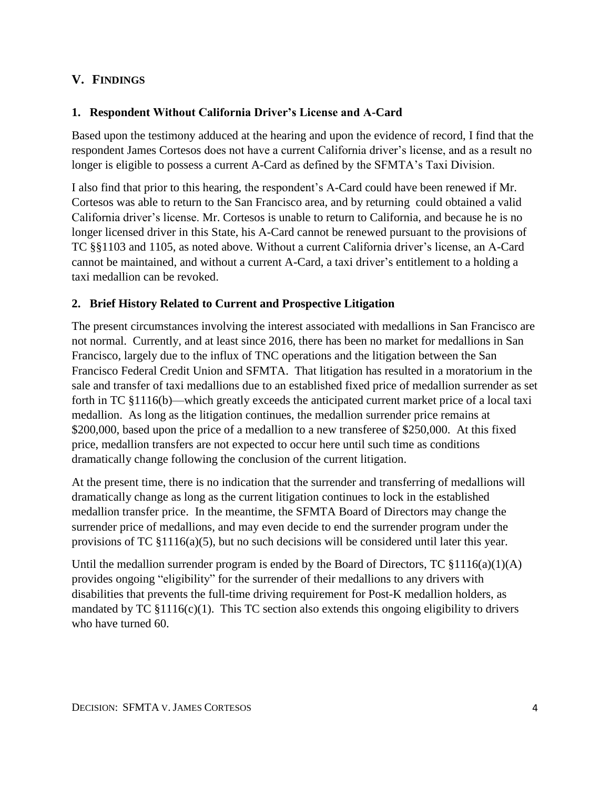# **V. FINDINGS**

### **1. Respondent Without California Driver's License and A-Card**

Based upon the testimony adduced at the hearing and upon the evidence of record, I find that the respondent James Cortesos does not have a current California driver's license, and as a result no longer is eligible to possess a current A-Card as defined by the SFMTA's Taxi Division.

I also find that prior to this hearing, the respondent's A-Card could have been renewed if Mr. Cortesos was able to return to the San Francisco area, and by returning could obtained a valid California driver's license. Mr. Cortesos is unable to return to California, and because he is no longer licensed driver in this State, his A-Card cannot be renewed pursuant to the provisions of TC §§1103 and 1105, as noted above. Without a current California driver's license, an A-Card cannot be maintained, and without a current A-Card, a taxi driver's entitlement to a holding a taxi medallion can be revoked.

### **2. Brief History Related to Current and Prospective Litigation**

The present circumstances involving the interest associated with medallions in San Francisco are not normal. Currently, and at least since 2016, there has been no market for medallions in San Francisco, largely due to the influx of TNC operations and the litigation between the San Francisco Federal Credit Union and SFMTA. That litigation has resulted in a moratorium in the sale and transfer of taxi medallions due to an established fixed price of medallion surrender as set forth in TC §1116(b)—which greatly exceeds the anticipated current market price of a local taxi medallion. As long as the litigation continues, the medallion surrender price remains at \$200,000, based upon the price of a medallion to a new transferee of \$250,000. At this fixed price, medallion transfers are not expected to occur here until such time as conditions dramatically change following the conclusion of the current litigation.

At the present time, there is no indication that the surrender and transferring of medallions will dramatically change as long as the current litigation continues to lock in the established medallion transfer price. In the meantime, the SFMTA Board of Directors may change the surrender price of medallions, and may even decide to end the surrender program under the provisions of TC §1116(a)(5), but no such decisions will be considered until later this year.

Until the medallion surrender program is ended by the Board of Directors, TC  $\S 1116(a)(1)(A)$ provides ongoing "eligibility" for the surrender of their medallions to any drivers with disabilities that prevents the full-time driving requirement for Post-K medallion holders, as mandated by  $TC \$ §1116(c)(1). This  $TC$  section also extends this ongoing eligibility to drivers who have turned 60.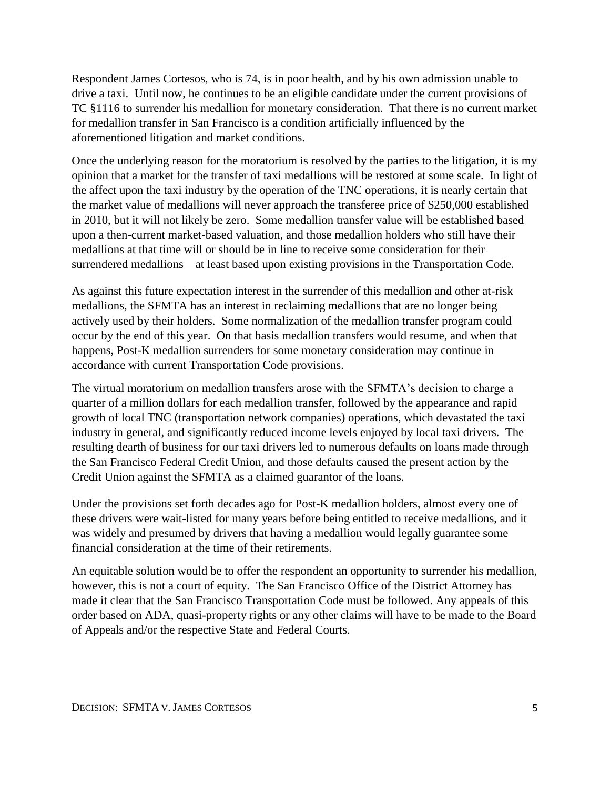Respondent James Cortesos, who is 74, is in poor health, and by his own admission unable to drive a taxi. Until now, he continues to be an eligible candidate under the current provisions of TC §1116 to surrender his medallion for monetary consideration. That there is no current market for medallion transfer in San Francisco is a condition artificially influenced by the aforementioned litigation and market conditions.

Once the underlying reason for the moratorium is resolved by the parties to the litigation, it is my opinion that a market for the transfer of taxi medallions will be restored at some scale. In light of the affect upon the taxi industry by the operation of the TNC operations, it is nearly certain that the market value of medallions will never approach the transferee price of \$250,000 established in 2010, but it will not likely be zero. Some medallion transfer value will be established based upon a then-current market-based valuation, and those medallion holders who still have their medallions at that time will or should be in line to receive some consideration for their surrendered medallions—at least based upon existing provisions in the Transportation Code.

As against this future expectation interest in the surrender of this medallion and other at-risk medallions, the SFMTA has an interest in reclaiming medallions that are no longer being actively used by their holders. Some normalization of the medallion transfer program could occur by the end of this year. On that basis medallion transfers would resume, and when that happens, Post-K medallion surrenders for some monetary consideration may continue in accordance with current Transportation Code provisions.

The virtual moratorium on medallion transfers arose with the SFMTA's decision to charge a quarter of a million dollars for each medallion transfer, followed by the appearance and rapid growth of local TNC (transportation network companies) operations, which devastated the taxi industry in general, and significantly reduced income levels enjoyed by local taxi drivers. The resulting dearth of business for our taxi drivers led to numerous defaults on loans made through the San Francisco Federal Credit Union, and those defaults caused the present action by the Credit Union against the SFMTA as a claimed guarantor of the loans.

Under the provisions set forth decades ago for Post-K medallion holders, almost every one of these drivers were wait-listed for many years before being entitled to receive medallions, and it was widely and presumed by drivers that having a medallion would legally guarantee some financial consideration at the time of their retirements.

An equitable solution would be to offer the respondent an opportunity to surrender his medallion, however, this is not a court of equity. The San Francisco Office of the District Attorney has made it clear that the San Francisco Transportation Code must be followed. Any appeals of this order based on ADA, quasi-property rights or any other claims will have to be made to the Board of Appeals and/or the respective State and Federal Courts.